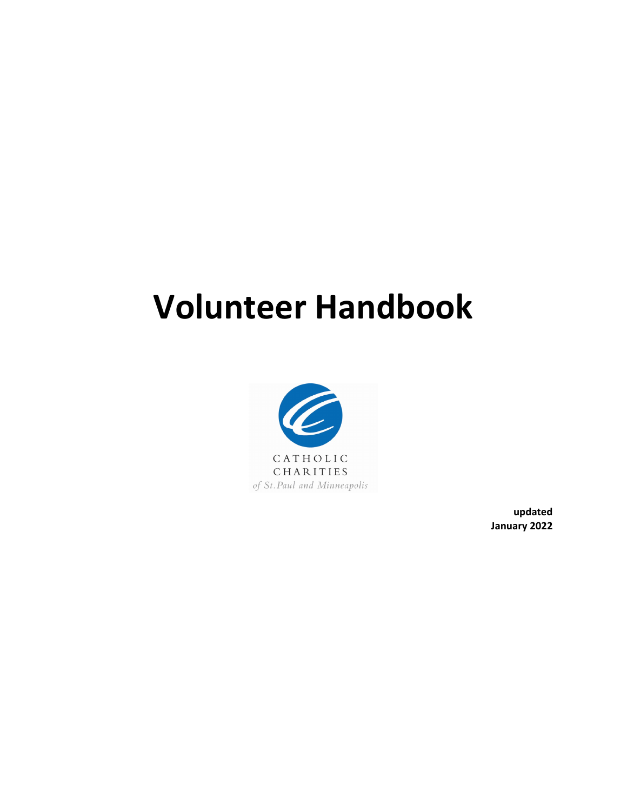# **Volunteer Handbook**



**updated January 2022**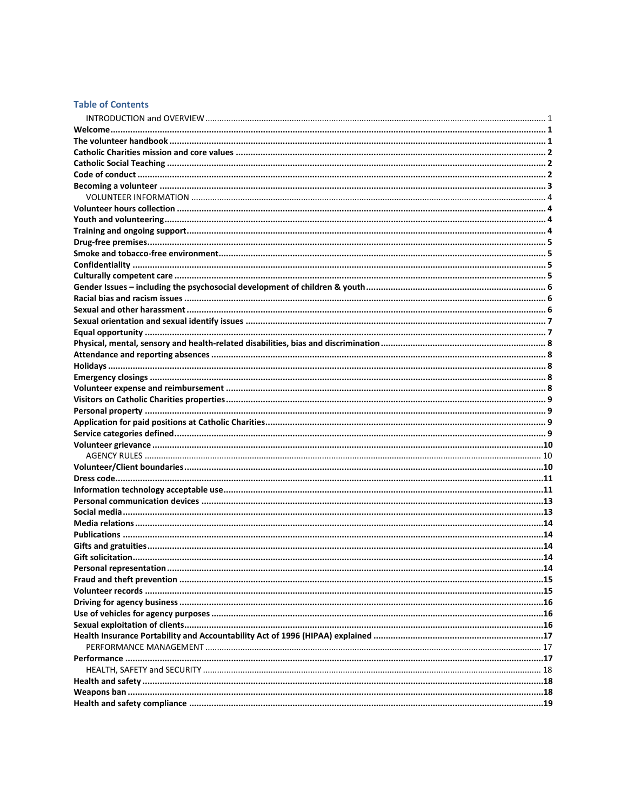# **Table of Contents**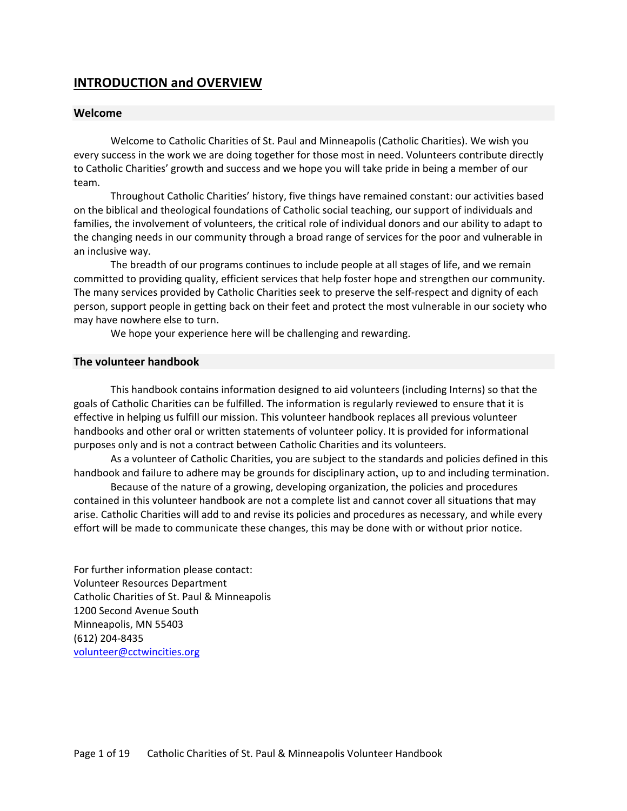# <span id="page-2-0"></span>**INTRODUCTION and OVERVIEW**

# <span id="page-2-1"></span>**Welcome**

Welcome to Catholic Charities of St. Paul and Minneapolis (Catholic Charities). We wish you every success in the work we are doing together for those most in need. Volunteers contribute directly to Catholic Charities' growth and success and we hope you will take pride in being a member of our team.

Throughout Catholic Charities' history, five things have remained constant: our activities based on the biblical and theological foundations of Catholic social teaching, our support of individuals and families, the involvement of volunteers, the critical role of individual donors and our ability to adapt to the changing needs in our community through a broad range of services for the poor and vulnerable in an inclusive way.

The breadth of our programs continues to include people at all stages of life, and we remain committed to providing quality, efficient services that help foster hope and strengthen our community. The many services provided by Catholic Charities seek to preserve the self-respect and dignity of each person, support people in getting back on their feet and protect the most vulnerable in our society who may have nowhere else to turn.

We hope your experience here will be challenging and rewarding.

# <span id="page-2-2"></span>**The volunteer handbook**

This handbook contains information designed to aid volunteers (including Interns) so that the goals of Catholic Charities can be fulfilled. The information is regularly reviewed to ensure that it is effective in helping us fulfill our mission. This volunteer handbook replaces all previous volunteer handbooks and other oral or written statements of volunteer policy. It is provided for informational purposes only and is not a contract between Catholic Charities and its volunteers.

As a volunteer of Catholic Charities, you are subject to the standards and policies defined in this handbook and failure to adhere may be grounds for disciplinary action, up to and including termination.

Because of the nature of a growing, developing organization, the policies and procedures contained in this volunteer handbook are not a complete list and cannot cover all situations that may arise. Catholic Charities will add to and revise its policies and procedures as necessary, and while every effort will be made to communicate these changes, this may be done with or without prior notice.

For further information please contact: Volunteer Resources Department Catholic Charities of St. Paul & Minneapolis 1200 Second Avenue South Minneapolis, MN 55403 (612) 204-8435 [volunteer@cctwincities.org](mailto:volunteer@cctwincities.org)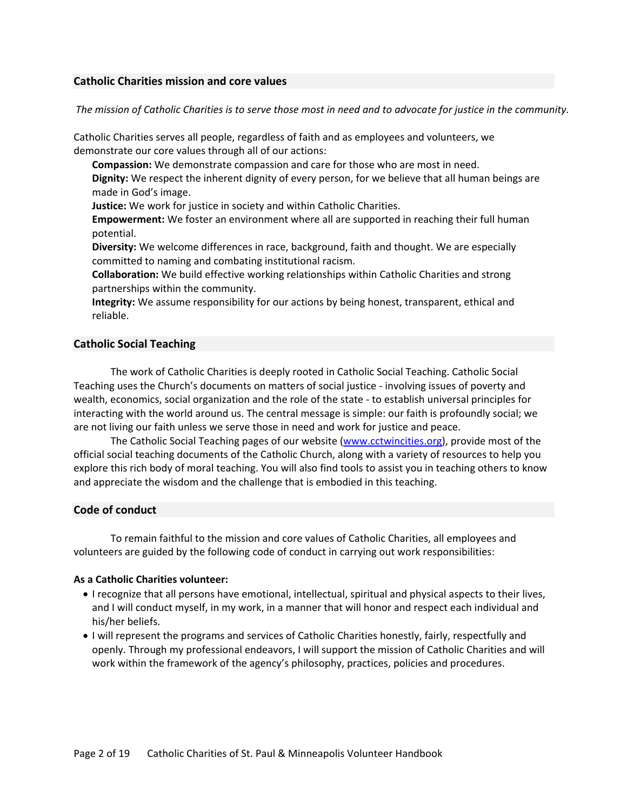# <span id="page-3-0"></span>**Catholic Charities mission and core values**

*The mission of Catholic Charities is to serve those most in need and to advocate for justice in the community.*

Catholic Charities serves all people, regardless of faith and as employees and volunteers, we demonstrate our core values through all of our actions:

**Compassion:** We demonstrate compassion and care for those who are most in need.

**Dignity:** We respect the inherent dignity of every person, for we believe that all human beings are made in God's image.

**Justice:** We work for justice in society and within Catholic Charities.

**Empowerment:** We foster an environment where all are supported in reaching their full human potential.

**Diversity:** We welcome differences in race, background, faith and thought. We are especially committed to naming and combating institutional racism.

**Collaboration:** We build effective working relationships within Catholic Charities and strong partnerships within the community.

**Integrity:** We assume responsibility for our actions by being honest, transparent, ethical and reliable.

# <span id="page-3-1"></span>**Catholic Social Teaching**

The work of Catholic Charities is deeply rooted in Catholic Social Teaching. Catholic Social Teaching uses the Church's documents on matters of social justice - involving issues of poverty and wealth, economics, social organization and the role of the state - to establish universal principles for interacting with the world around us. The central message is simple: our faith is profoundly social; we are not living our faith unless we serve those in need and work for justice and peace.

The Catholic Social Teaching pages of our website (www.cctwincities.org), provide most of the official social teaching documents of the Catholic Church, along with a variety of resources to help you explore this rich body of moral teaching. You will also find tools to assist you in teaching others to know and appreciate the wisdom and the challenge that is embodied in this teaching.

# <span id="page-3-2"></span>**Code of conduct**

To remain faithful to the mission and core values of Catholic Charities, all employees and volunteers are guided by the following code of conduct in carrying out work responsibilities:

## **As a Catholic Charities volunteer:**

- I recognize that all persons have emotional, intellectual, spiritual and physical aspects to their lives, and I will conduct myself, in my work, in a manner that will honor and respect each individual and his/her beliefs.
- I will represent the programs and services of Catholic Charities honestly, fairly, respectfully and openly. Through my professional endeavors, I will support the mission of Catholic Charities and will work within the framework of the agency's philosophy, practices, policies and procedures.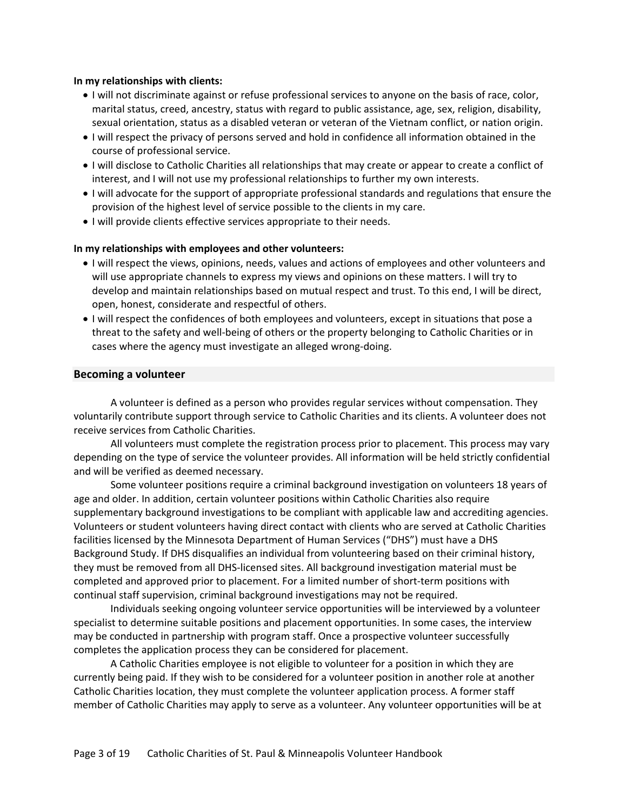## **In my relationships with clients:**

- I will not discriminate against or refuse professional services to anyone on the basis of race, color, marital status, creed, ancestry, status with regard to public assistance, age, sex, religion, disability, sexual orientation, status as a disabled veteran or veteran of the Vietnam conflict, or nation origin.
- I will respect the privacy of persons served and hold in confidence all information obtained in the course of professional service.
- I will disclose to Catholic Charities all relationships that may create or appear to create a conflict of interest, and I will not use my professional relationships to further my own interests.
- I will advocate for the support of appropriate professional standards and regulations that ensure the provision of the highest level of service possible to the clients in my care.
- I will provide clients effective services appropriate to their needs.

# **In my relationships with employees and other volunteers:**

- I will respect the views, opinions, needs, values and actions of employees and other volunteers and will use appropriate channels to express my views and opinions on these matters. I will try to develop and maintain relationships based on mutual respect and trust. To this end, I will be direct, open, honest, considerate and respectful of others.
- I will respect the confidences of both employees and volunteers, except in situations that pose a threat to the safety and well-being of others or the property belonging to Catholic Charities or in cases where the agency must investigate an alleged wrong-doing.

# <span id="page-4-0"></span>**Becoming a volunteer**

A volunteer is defined as a person who provides regular services without compensation. They voluntarily contribute support through service to Catholic Charities and its clients. A volunteer does not receive services from Catholic Charities.

All volunteers must complete the registration process prior to placement. This process may vary depending on the type of service the volunteer provides. All information will be held strictly confidential and will be verified as deemed necessary.

Some volunteer positions require a criminal background investigation on volunteers 18 years of age and older. In addition, certain volunteer positions within Catholic Charities also require supplementary background investigations to be compliant with applicable law and accrediting agencies. Volunteers or student volunteers having direct contact with clients who are served at Catholic Charities facilities licensed by the Minnesota Department of Human Services ("DHS") must have a DHS Background Study. If DHS disqualifies an individual from volunteering based on their criminal history, they must be removed from all DHS-licensed sites. All background investigation material must be completed and approved prior to placement. For a limited number of short-term positions with continual staff supervision, criminal background investigations may not be required.

Individuals seeking ongoing volunteer service opportunities will be interviewed by a volunteer specialist to determine suitable positions and placement opportunities. In some cases, the interview may be conducted in partnership with program staff. Once a prospective volunteer successfully completes the application process they can be considered for placement.

A Catholic Charities employee is not eligible to volunteer for a position in which they are currently being paid. If they wish to be considered for a volunteer position in another role at another Catholic Charities location, they must complete the volunteer application process. A former staff member of Catholic Charities may apply to serve as a volunteer. Any volunteer opportunities will be at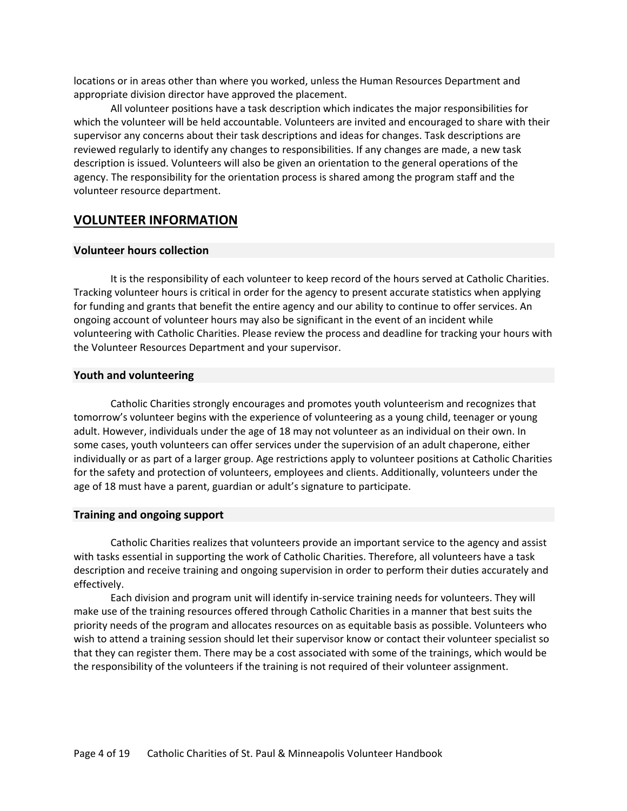locations or in areas other than where you worked, unless the Human Resources Department and appropriate division director have approved the placement.

All volunteer positions have a task description which indicates the major responsibilities for which the volunteer will be held accountable. Volunteers are invited and encouraged to share with their supervisor any concerns about their task descriptions and ideas for changes. Task descriptions are reviewed regularly to identify any changes to responsibilities. If any changes are made, a new task description is issued. Volunteers will also be given an orientation to the general operations of the agency. The responsibility for the orientation process is shared among the program staff and the volunteer resource department.

# <span id="page-5-0"></span>**VOLUNTEER INFORMATION**

# <span id="page-5-1"></span>**Volunteer hours collection**

It is the responsibility of each volunteer to keep record of the hours served at Catholic Charities. Tracking volunteer hours is critical in order for the agency to present accurate statistics when applying for funding and grants that benefit the entire agency and our ability to continue to offer services. An ongoing account of volunteer hours may also be significant in the event of an incident while volunteering with Catholic Charities. Please review the process and deadline for tracking your hours with the Volunteer Resources Department and your supervisor.

## <span id="page-5-2"></span>**Youth and volunteering**

Catholic Charities strongly encourages and promotes youth volunteerism and recognizes that tomorrow's volunteer begins with the experience of volunteering as a young child, teenager or young adult. However, individuals under the age of 18 may not volunteer as an individual on their own. In some cases, youth volunteers can offer services under the supervision of an adult chaperone, either individually or as part of a larger group. Age restrictions apply to volunteer positions at Catholic Charities for the safety and protection of volunteers, employees and clients. Additionally, volunteers under the age of 18 must have a parent, guardian or adult's signature to participate.

## <span id="page-5-3"></span>**Training and ongoing support**

Catholic Charities realizes that volunteers provide an important service to the agency and assist with tasks essential in supporting the work of Catholic Charities. Therefore, all volunteers have a task description and receive training and ongoing supervision in order to perform their duties accurately and effectively.

Each division and program unit will identify in-service training needs for volunteers. They will make use of the training resources offered through Catholic Charities in a manner that best suits the priority needs of the program and allocates resources on as equitable basis as possible. Volunteers who wish to attend a training session should let their supervisor know or contact their volunteer specialist so that they can register them. There may be a cost associated with some of the trainings, which would be the responsibility of the volunteers if the training is not required of their volunteer assignment.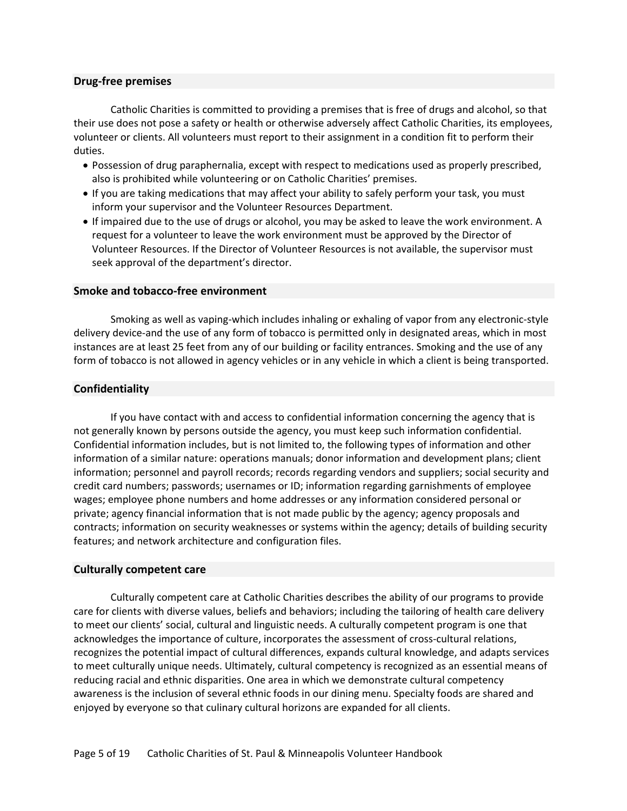# <span id="page-6-0"></span>**Drug-free premises**

Catholic Charities is committed to providing a premises that is free of drugs and alcohol, so that their use does not pose a safety or health or otherwise adversely affect Catholic Charities, its employees, volunteer or clients. All volunteers must report to their assignment in a condition fit to perform their duties.

- Possession of drug paraphernalia, except with respect to medications used as properly prescribed, also is prohibited while volunteering or on Catholic Charities' premises.
- If you are taking medications that may affect your ability to safely perform your task, you must inform your supervisor and the Volunteer Resources Department.
- If impaired due to the use of drugs or alcohol, you may be asked to leave the work environment. A request for a volunteer to leave the work environment must be approved by the Director of Volunteer Resources. If the Director of Volunteer Resources is not available, the supervisor must seek approval of the department's director.

# <span id="page-6-1"></span>**Smoke and tobacco-free environment**

Smoking as well as vaping-which includes inhaling or exhaling of vapor from any electronic-style delivery device-and the use of any form of tobacco is permitted only in designated areas, which in most instances are at least 25 feet from any of our building or facility entrances. Smoking and the use of any form of tobacco is not allowed in agency vehicles or in any vehicle in which a client is being transported.

# <span id="page-6-2"></span>**Confidentiality**

If you have contact with and access to confidential information concerning the agency that is not generally known by persons outside the agency, you must keep such information confidential. Confidential information includes, but is not limited to, the following types of information and other information of a similar nature: operations manuals; donor information and development plans; client information; personnel and payroll records; records regarding vendors and suppliers; social security and credit card numbers; passwords; usernames or ID; information regarding garnishments of employee wages; employee phone numbers and home addresses or any information considered personal or private; agency financial information that is not made public by the agency; agency proposals and contracts; information on security weaknesses or systems within the agency; details of building security features; and network architecture and configuration files.

# <span id="page-6-3"></span>**Culturally competent care**

Culturally competent care at Catholic Charities describes the ability of our programs to provide care for clients with diverse values, beliefs and behaviors; including the tailoring of health care delivery to meet our clients' social, cultural and linguistic needs. A culturally competent program is one that acknowledges the importance of culture, incorporates the assessment of cross-cultural relations, recognizes the potential impact of cultural differences, expands cultural knowledge, and adapts services to meet culturally unique needs. Ultimately, cultural competency is recognized as an essential means of reducing racial and ethnic disparities. One area in which we demonstrate cultural competency awareness is the inclusion of several ethnic foods in our dining menu. Specialty foods are shared and enjoyed by everyone so that culinary cultural horizons are expanded for all clients.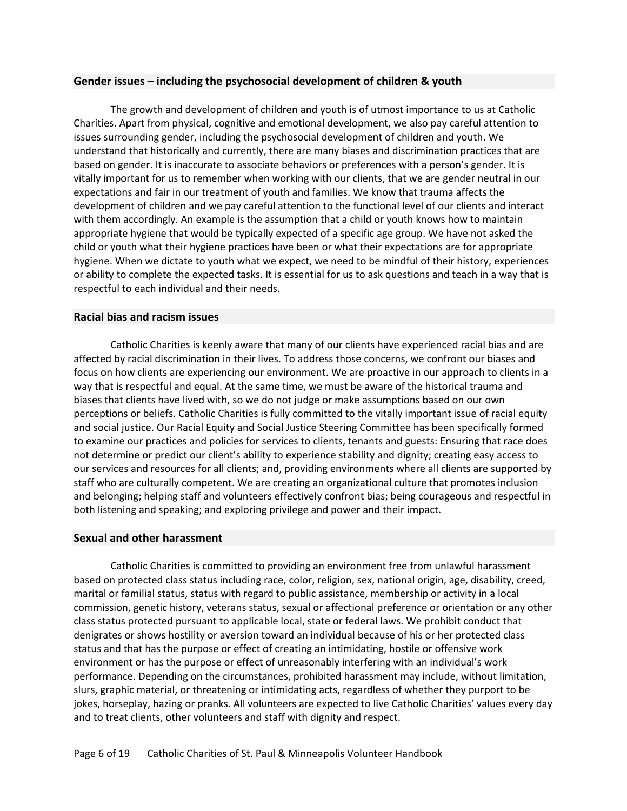# <span id="page-7-0"></span>**Gender issues – including the psychosocial development of children & youth**

The growth and development of children and youth is of utmost importance to us at Catholic Charities. Apart from physical, cognitive and emotional development, we also pay careful attention to issues surrounding gender, including the psychosocial development of children and youth. We understand that historically and currently, there are many biases and discrimination practices that are based on gender. It is inaccurate to associate behaviors or preferences with a person's gender. It is vitally important for us to remember when working with our clients, that we are gender neutral in our expectations and fair in our treatment of youth and families. We know that trauma affects the development of children and we pay careful attention to the functional level of our clients and interact with them accordingly. An example is the assumption that a child or youth knows how to maintain appropriate hygiene that would be typically expected of a specific age group. We have not asked the child or youth what their hygiene practices have been or what their expectations are for appropriate hygiene. When we dictate to youth what we expect, we need to be mindful of their history, experiences or ability to complete the expected tasks. It is essential for us to ask questions and teach in a way that is respectful to each individual and their needs.

# <span id="page-7-1"></span>**Racial bias and racism issues**

Catholic Charities is keenly aware that many of our clients have experienced racial bias and are affected by racial discrimination in their lives. To address those concerns, we confront our biases and focus on how clients are experiencing our environment. We are proactive in our approach to clients in a way that is respectful and equal. At the same time, we must be aware of the historical trauma and biases that clients have lived with, so we do not judge or make assumptions based on our own perceptions or beliefs. Catholic Charities is fully committed to the vitally important issue of racial equity and social justice. Our Racial Equity and Social Justice Steering Committee has been specifically formed to examine our practices and policies for services to clients, tenants and guests: Ensuring that race does not determine or predict our client's ability to experience stability and dignity; creating easy access to our services and resources for all clients; and, providing environments where all clients are supported by staff who are culturally competent. We are creating an organizational culture that promotes inclusion and belonging; helping staff and volunteers effectively confront bias; being courageous and respectful in both listening and speaking; and exploring privilege and power and their impact.

# <span id="page-7-2"></span>**Sexual and other harassment**

Catholic Charities is committed to providing an environment free from unlawful harassment based on protected class status including race, color, religion, sex, national origin, age, disability, creed, marital or familial status, status with regard to public assistance, membership or activity in a local commission, genetic history, veterans status, sexual or affectional preference or orientation or any other class status protected pursuant to applicable local, state or federal laws. We prohibit conduct that denigrates or shows hostility or aversion toward an individual because of his or her protected class status and that has the purpose or effect of creating an intimidating, hostile or offensive work environment or has the purpose or effect of unreasonably interfering with an individual's work performance. Depending on the circumstances, prohibited harassment may include, without limitation, slurs, graphic material, or threatening or intimidating acts, regardless of whether they purport to be jokes, horseplay, hazing or pranks. All volunteers are expected to live Catholic Charities' values every day and to treat clients, other volunteers and staff with dignity and respect.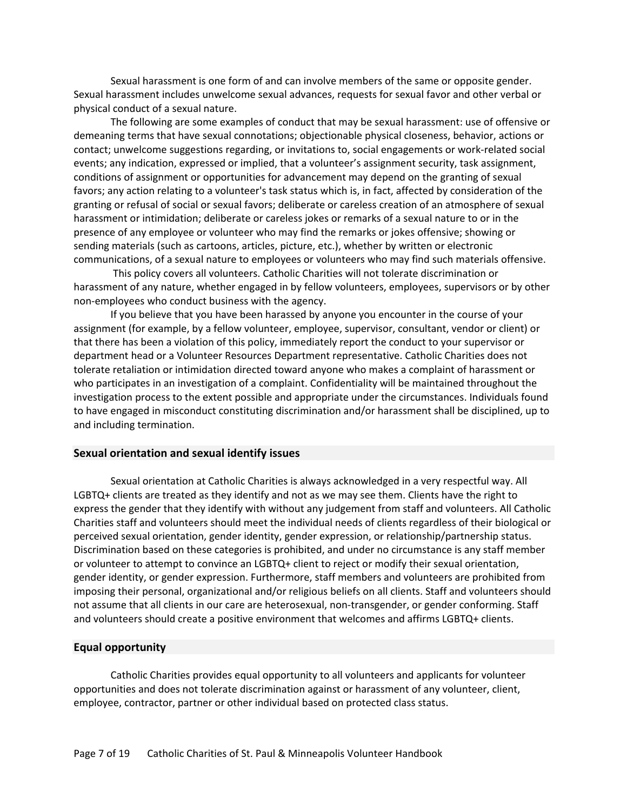Sexual harassment is one form of and can involve members of the same or opposite gender. Sexual harassment includes unwelcome sexual advances, requests for sexual favor and other verbal or physical conduct of a sexual nature.

The following are some examples of conduct that may be sexual harassment: use of offensive or demeaning terms that have sexual connotations; objectionable physical closeness, behavior, actions or contact; unwelcome suggestions regarding, or invitations to, social engagements or work-related social events; any indication, expressed or implied, that a volunteer's assignment security, task assignment, conditions of assignment or opportunities for advancement may depend on the granting of sexual favors; any action relating to a volunteer's task status which is, in fact, affected by consideration of the granting or refusal of social or sexual favors; deliberate or careless creation of an atmosphere of sexual harassment or intimidation; deliberate or careless jokes or remarks of a sexual nature to or in the presence of any employee or volunteer who may find the remarks or jokes offensive; showing or sending materials (such as cartoons, articles, picture, etc.), whether by written or electronic communications, of a sexual nature to employees or volunteers who may find such materials offensive.

This policy covers all volunteers. Catholic Charities will not tolerate discrimination or harassment of any nature, whether engaged in by fellow volunteers, employees, supervisors or by other non-employees who conduct business with the agency.

If you believe that you have been harassed by anyone you encounter in the course of your assignment (for example, by a fellow volunteer, employee, supervisor, consultant, vendor or client) or that there has been a violation of this policy, immediately report the conduct to your supervisor or department head or a Volunteer Resources Department representative. Catholic Charities does not tolerate retaliation or intimidation directed toward anyone who makes a complaint of harassment or who participates in an investigation of a complaint. Confidentiality will be maintained throughout the investigation process to the extent possible and appropriate under the circumstances. Individuals found to have engaged in misconduct constituting discrimination and/or harassment shall be disciplined, up to and including termination.

## <span id="page-8-0"></span>**Sexual orientation and sexual identify issues**

Sexual orientation at Catholic Charities is always acknowledged in a very respectful way. All LGBTQ+ clients are treated as they identify and not as we may see them. Clients have the right to express the gender that they identify with without any judgement from staff and volunteers. All Catholic Charities staff and volunteers should meet the individual needs of clients regardless of their biological or perceived sexual orientation, gender identity, gender expression, or relationship/partnership status. Discrimination based on these categories is prohibited, and under no circumstance is any staff member or volunteer to attempt to convince an LGBTQ+ client to reject or modify their sexual orientation, gender identity, or gender expression. Furthermore, staff members and volunteers are prohibited from imposing their personal, organizational and/or religious beliefs on all clients. Staff and volunteers should not assume that all clients in our care are heterosexual, non-transgender, or gender conforming. Staff and volunteers should create a positive environment that welcomes and affirms LGBTQ+ clients.

# <span id="page-8-1"></span>**Equal opportunity**

Catholic Charities provides equal opportunity to all volunteers and applicants for volunteer opportunities and does not tolerate discrimination against or harassment of any volunteer, client, employee, contractor, partner or other individual based on protected class status.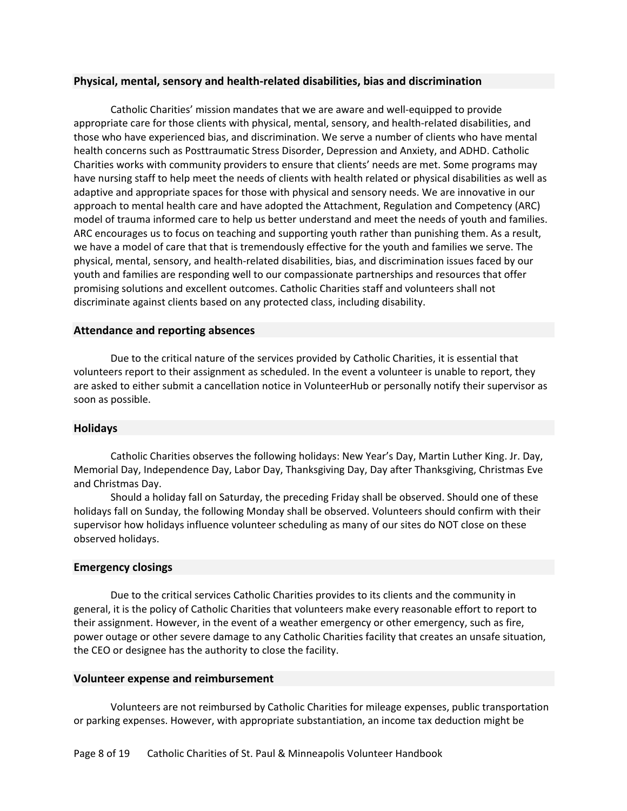# <span id="page-9-0"></span>**Physical, mental, sensory and health-related disabilities, bias and discrimination**

Catholic Charities' mission mandates that we are aware and well-equipped to provide appropriate care for those clients with physical, mental, sensory, and health-related disabilities, and those who have experienced bias, and discrimination. We serve a number of clients who have mental health concerns such as Posttraumatic Stress Disorder, Depression and Anxiety, and ADHD. Catholic Charities works with community providers to ensure that clients' needs are met. Some programs may have nursing staff to help meet the needs of clients with health related or physical disabilities as well as adaptive and appropriate spaces for those with physical and sensory needs. We are innovative in our approach to mental health care and have adopted the Attachment, Regulation and Competency (ARC) model of trauma informed care to help us better understand and meet the needs of youth and families. ARC encourages us to focus on teaching and supporting youth rather than punishing them. As a result, we have a model of care that that is tremendously effective for the youth and families we serve. The physical, mental, sensory, and health-related disabilities, bias, and discrimination issues faced by our youth and families are responding well to our compassionate partnerships and resources that offer promising solutions and excellent outcomes. Catholic Charities staff and volunteers shall not discriminate against clients based on any protected class, including disability.

# <span id="page-9-1"></span>**Attendance and reporting absences**

Due to the critical nature of the services provided by Catholic Charities, it is essential that volunteers report to their assignment as scheduled. In the event a volunteer is unable to report, they are asked to either submit a cancellation notice in VolunteerHub or personally notify their supervisor as soon as possible.

# <span id="page-9-2"></span>**Holidays**

Catholic Charities observes the following holidays: New Year's Day, Martin Luther King. Jr. Day, Memorial Day, Independence Day, Labor Day, Thanksgiving Day, Day after Thanksgiving, Christmas Eve and Christmas Day.

Should a holiday fall on Saturday, the preceding Friday shall be observed. Should one of these holidays fall on Sunday, the following Monday shall be observed. Volunteers should confirm with their supervisor how holidays influence volunteer scheduling as many of our sites do NOT close on these observed holidays.

# <span id="page-9-3"></span>**Emergency closings**

Due to the critical services Catholic Charities provides to its clients and the community in general, it is the policy of Catholic Charities that volunteers make every reasonable effort to report to their assignment. However, in the event of a weather emergency or other emergency, such as fire, power outage or other severe damage to any Catholic Charities facility that creates an unsafe situation, the CEO or designee has the authority to close the facility.

# <span id="page-9-4"></span>**Volunteer expense and reimbursement**

Volunteers are not reimbursed by Catholic Charities for mileage expenses, public transportation or parking expenses. However, with appropriate substantiation, an income tax deduction might be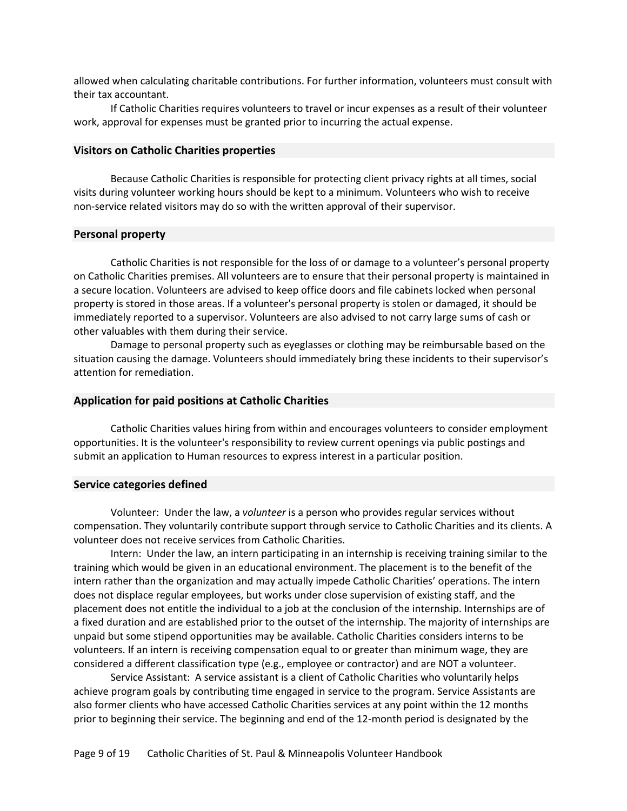allowed when calculating charitable contributions. For further information, volunteers must consult with their tax accountant.

If Catholic Charities requires volunteers to travel or incur expenses as a result of their volunteer work, approval for expenses must be granted prior to incurring the actual expense.

## <span id="page-10-0"></span>**Visitors on Catholic Charities properties**

Because Catholic Charities is responsible for protecting client privacy rights at all times, social visits during volunteer working hours should be kept to a minimum. Volunteers who wish to receive non-service related visitors may do so with the written approval of their supervisor.

#### <span id="page-10-1"></span>**Personal property**

Catholic Charities is not responsible for the loss of or damage to a volunteer's personal property on Catholic Charities premises. All volunteers are to ensure that their personal property is maintained in a secure location. Volunteers are advised to keep office doors and file cabinets locked when personal property is stored in those areas. If a volunteer's personal property is stolen or damaged, it should be immediately reported to a supervisor. Volunteers are also advised to not carry large sums of cash or other valuables with them during their service.

Damage to personal property such as eyeglasses or clothing may be reimbursable based on the situation causing the damage. Volunteers should immediately bring these incidents to their supervisor's attention for remediation.

#### <span id="page-10-2"></span>**Application for paid positions at Catholic Charities**

Catholic Charities values hiring from within and encourages volunteers to consider employment opportunities. It is the volunteer's responsibility to review current openings via public postings and submit an application to Human resources to express interest in a particular position.

#### <span id="page-10-3"></span>**Service categories defined**

Volunteer: Under the law, a *volunteer* is a person who provides regular services without compensation. They voluntarily contribute support through service to Catholic Charities and its clients. A volunteer does not receive services from Catholic Charities.

Intern: Under the law, an intern participating in an internship is receiving training similar to the training which would be given in an educational environment. The placement is to the benefit of the intern rather than the organization and may actually impede Catholic Charities' operations. The intern does not displace regular employees, but works under close supervision of existing staff, and the placement does not entitle the individual to a job at the conclusion of the internship. Internships are of a fixed duration and are established prior to the outset of the internship. The majority of internships are unpaid but some stipend opportunities may be available. Catholic Charities considers interns to be volunteers. If an intern is receiving compensation equal to or greater than minimum wage, they are considered a different classification type (e.g., employee or contractor) and are NOT a volunteer.

Service Assistant: A service assistant is a client of Catholic Charities who voluntarily helps achieve program goals by contributing time engaged in service to the program. Service Assistants are also former clients who have accessed Catholic Charities services at any point within the 12 months prior to beginning their service. The beginning and end of the 12-month period is designated by the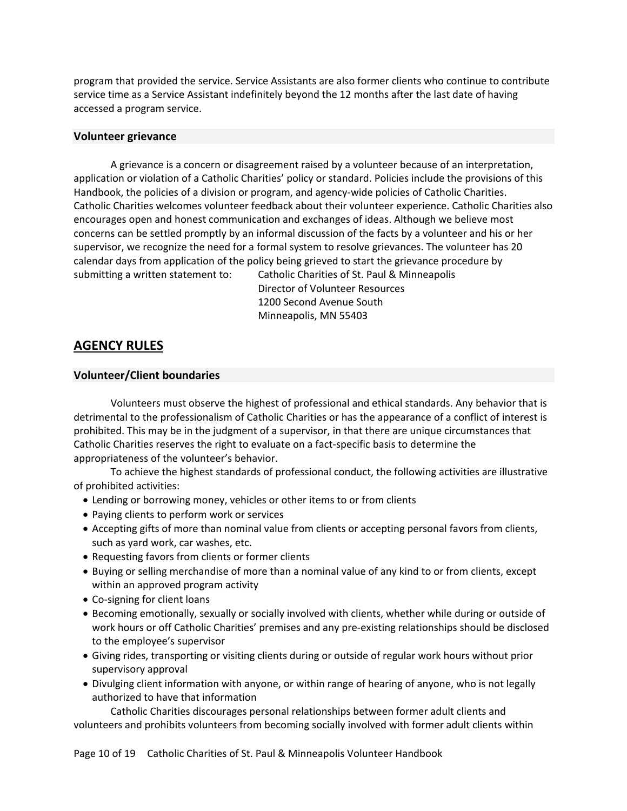program that provided the service. Service Assistants are also former clients who continue to contribute service time as a Service Assistant indefinitely beyond the 12 months after the last date of having accessed a program service.

# <span id="page-11-0"></span>**Volunteer grievance**

A grievance is a concern or disagreement raised by a volunteer because of an interpretation, application or violation of a Catholic Charities' policy or standard. Policies include the provisions of this Handbook, the policies of a division or program, and agency-wide policies of Catholic Charities. Catholic Charities welcomes volunteer feedback about their volunteer experience. Catholic Charities also encourages open and honest communication and exchanges of ideas. Although we believe most concerns can be settled promptly by an informal discussion of the facts by a volunteer and his or her supervisor, we recognize the need for a formal system to resolve grievances. The volunteer has 20 calendar days from application of the policy being grieved to start the grievance procedure by submitting a written statement to: Catholic Charities of St. Paul & Minneapolis

Director of Volunteer Resources 1200 Second Avenue South Minneapolis, MN 55403

# <span id="page-11-1"></span>**AGENCY RULES**

# <span id="page-11-2"></span>**Volunteer/Client boundaries**

Volunteers must observe the highest of professional and ethical standards. Any behavior that is detrimental to the professionalism of Catholic Charities or has the appearance of a conflict of interest is prohibited. This may be in the judgment of a supervisor, in that there are unique circumstances that Catholic Charities reserves the right to evaluate on a fact-specific basis to determine the appropriateness of the volunteer's behavior.

To achieve the highest standards of professional conduct, the following activities are illustrative of prohibited activities:

- Lending or borrowing money, vehicles or other items to or from clients
- Paying clients to perform work or services
- Accepting gifts of more than nominal value from clients or accepting personal favors from clients, such as yard work, car washes, etc.
- Requesting favors from clients or former clients
- Buying or selling merchandise of more than a nominal value of any kind to or from clients, except within an approved program activity
- Co-signing for client loans
- Becoming emotionally, sexually or socially involved with clients, whether while during or outside of work hours or off Catholic Charities' premises and any pre-existing relationships should be disclosed to the employee's supervisor
- Giving rides, transporting or visiting clients during or outside of regular work hours without prior supervisory approval
- Divulging client information with anyone, or within range of hearing of anyone, who is not legally authorized to have that information

Catholic Charities discourages personal relationships between former adult clients and volunteers and prohibits volunteers from becoming socially involved with former adult clients within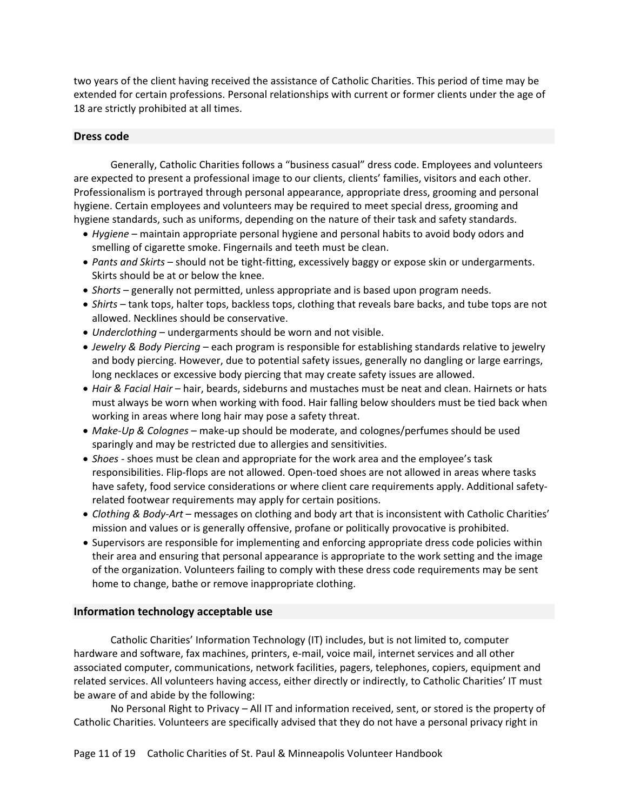two years of the client having received the assistance of Catholic Charities. This period of time may be extended for certain professions. Personal relationships with current or former clients under the age of 18 are strictly prohibited at all times.

# <span id="page-12-0"></span>**Dress code**

Generally, Catholic Charities follows a "business casual" dress code. Employees and volunteers are expected to present a professional image to our clients, clients' families, visitors and each other. Professionalism is portrayed through personal appearance, appropriate dress, grooming and personal hygiene. Certain employees and volunteers may be required to meet special dress, grooming and hygiene standards, such as uniforms, depending on the nature of their task and safety standards.

- *Hygiene* maintain appropriate personal hygiene and personal habits to avoid body odors and smelling of cigarette smoke. Fingernails and teeth must be clean.
- *Pants and Skirts* should not be tight-fitting, excessively baggy or expose skin or undergarments. Skirts should be at or below the knee.
- *Shorts* generally not permitted, unless appropriate and is based upon program needs.
- *Shirts* tank tops, halter tops, backless tops, clothing that reveals bare backs, and tube tops are not allowed. Necklines should be conservative.
- *Underclothing* undergarments should be worn and not visible.
- *Jewelry & Body Piercing* each program is responsible for establishing standards relative to jewelry and body piercing. However, due to potential safety issues, generally no dangling or large earrings, long necklaces or excessive body piercing that may create safety issues are allowed.
- *Hair & Facial Hair* hair, beards, sideburns and mustaches must be neat and clean. Hairnets or hats must always be worn when working with food. Hair falling below shoulders must be tied back when working in areas where long hair may pose a safety threat.
- *Make-Up & Colognes* make-up should be moderate, and colognes/perfumes should be used sparingly and may be restricted due to allergies and sensitivities.
- *Shoes* shoes must be clean and appropriate for the work area and the employee's task responsibilities. Flip-flops are not allowed. Open-toed shoes are not allowed in areas where tasks have safety, food service considerations or where client care requirements apply. Additional safetyrelated footwear requirements may apply for certain positions.
- *Clothing & Body-Art* messages on clothing and body art that is inconsistent with Catholic Charities' mission and values or is generally offensive, profane or politically provocative is prohibited.
- Supervisors are responsible for implementing and enforcing appropriate dress code policies within their area and ensuring that personal appearance is appropriate to the work setting and the image of the organization. Volunteers failing to comply with these dress code requirements may be sent home to change, bathe or remove inappropriate clothing.

# <span id="page-12-1"></span>**Information technology acceptable use**

Catholic Charities' Information Technology (IT) includes, but is not limited to, computer hardware and software, fax machines, printers, e-mail, voice mail, internet services and all other associated computer, communications, network facilities, pagers, telephones, copiers, equipment and related services. All volunteers having access, either directly or indirectly, to Catholic Charities' IT must be aware of and abide by the following:

No Personal Right to Privacy – All IT and information received, sent, or stored is the property of Catholic Charities. Volunteers are specifically advised that they do not have a personal privacy right in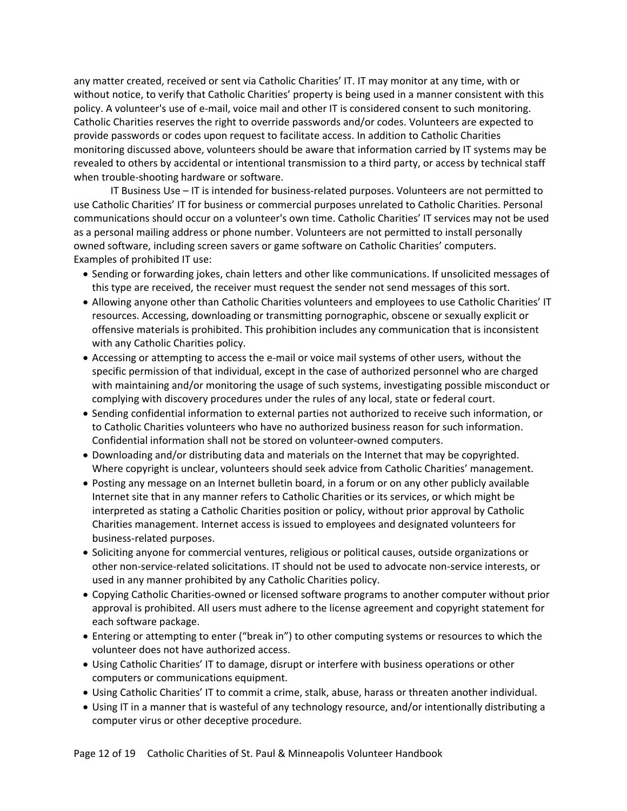any matter created, received or sent via Catholic Charities' IT. IT may monitor at any time, with or without notice, to verify that Catholic Charities' property is being used in a manner consistent with this policy. A volunteer's use of e-mail, voice mail and other IT is considered consent to such monitoring. Catholic Charities reserves the right to override passwords and/or codes. Volunteers are expected to provide passwords or codes upon request to facilitate access. In addition to Catholic Charities monitoring discussed above, volunteers should be aware that information carried by IT systems may be revealed to others by accidental or intentional transmission to a third party, or access by technical staff when trouble-shooting hardware or software.

IT Business Use – IT is intended for business-related purposes. Volunteers are not permitted to use Catholic Charities' IT for business or commercial purposes unrelated to Catholic Charities. Personal communications should occur on a volunteer's own time. Catholic Charities' IT services may not be used as a personal mailing address or phone number. Volunteers are not permitted to install personally owned software, including screen savers or game software on Catholic Charities' computers. Examples of prohibited IT use:

- Sending or forwarding jokes, chain letters and other like communications. If unsolicited messages of this type are received, the receiver must request the sender not send messages of this sort.
- Allowing anyone other than Catholic Charities volunteers and employees to use Catholic Charities' IT resources. Accessing, downloading or transmitting pornographic, obscene or sexually explicit or offensive materials is prohibited. This prohibition includes any communication that is inconsistent with any Catholic Charities policy.
- Accessing or attempting to access the e-mail or voice mail systems of other users, without the specific permission of that individual, except in the case of authorized personnel who are charged with maintaining and/or monitoring the usage of such systems, investigating possible misconduct or complying with discovery procedures under the rules of any local, state or federal court.
- Sending confidential information to external parties not authorized to receive such information, or to Catholic Charities volunteers who have no authorized business reason for such information. Confidential information shall not be stored on volunteer-owned computers.
- Downloading and/or distributing data and materials on the Internet that may be copyrighted. Where copyright is unclear, volunteers should seek advice from Catholic Charities' management.
- Posting any message on an Internet bulletin board, in a forum or on any other publicly available Internet site that in any manner refers to Catholic Charities or its services, or which might be interpreted as stating a Catholic Charities position or policy, without prior approval by Catholic Charities management. Internet access is issued to employees and designated volunteers for business-related purposes.
- Soliciting anyone for commercial ventures, religious or political causes, outside organizations or other non-service-related solicitations. IT should not be used to advocate non-service interests, or used in any manner prohibited by any Catholic Charities policy.
- Copying Catholic Charities-owned or licensed software programs to another computer without prior approval is prohibited. All users must adhere to the license agreement and copyright statement for each software package.
- Entering or attempting to enter ("break in") to other computing systems or resources to which the volunteer does not have authorized access.
- Using Catholic Charities' IT to damage, disrupt or interfere with business operations or other computers or communications equipment.
- Using Catholic Charities' IT to commit a crime, stalk, abuse, harass or threaten another individual.
- Using IT in a manner that is wasteful of any technology resource, and/or intentionally distributing a computer virus or other deceptive procedure.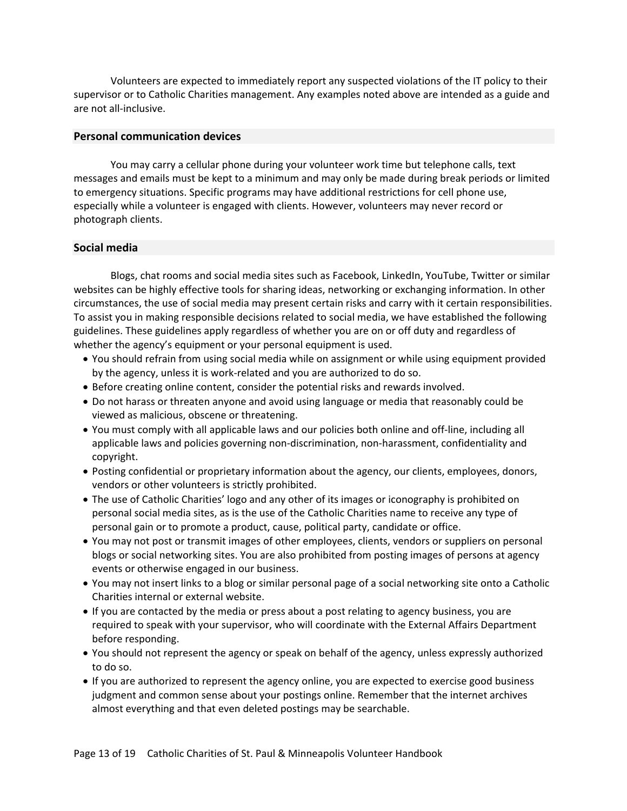Volunteers are expected to immediately report any suspected violations of the IT policy to their supervisor or to Catholic Charities management. Any examples noted above are intended as a guide and are not all-inclusive.

# <span id="page-14-0"></span>**Personal communication devices**

You may carry a cellular phone during your volunteer work time but telephone calls, text messages and emails must be kept to a minimum and may only be made during break periods or limited to emergency situations. Specific programs may have additional restrictions for cell phone use, especially while a volunteer is engaged with clients. However, volunteers may never record or photograph clients.

# <span id="page-14-1"></span>**Social media**

Blogs, chat rooms and social media sites such as Facebook, LinkedIn, YouTube, Twitter or similar websites can be highly effective tools for sharing ideas, networking or exchanging information. In other circumstances, the use of social media may present certain risks and carry with it certain responsibilities. To assist you in making responsible decisions related to social media, we have established the following guidelines. These guidelines apply regardless of whether you are on or off duty and regardless of whether the agency's equipment or your personal equipment is used.

- You should refrain from using social media while on assignment or while using equipment provided by the agency, unless it is work-related and you are authorized to do so.
- Before creating online content, consider the potential risks and rewards involved.
- Do not harass or threaten anyone and avoid using language or media that reasonably could be viewed as malicious, obscene or threatening.
- You must comply with all applicable laws and our policies both online and off-line, including all applicable laws and policies governing non-discrimination, non-harassment, confidentiality and copyright.
- Posting confidential or proprietary information about the agency, our clients, employees, donors, vendors or other volunteers is strictly prohibited.
- The use of Catholic Charities' logo and any other of its images or iconography is prohibited on personal social media sites, as is the use of the Catholic Charities name to receive any type of personal gain or to promote a product, cause, political party, candidate or office.
- You may not post or transmit images of other employees, clients, vendors or suppliers on personal blogs or social networking sites. You are also prohibited from posting images of persons at agency events or otherwise engaged in our business.
- You may not insert links to a blog or similar personal page of a social networking site onto a Catholic Charities internal or external website.
- If you are contacted by the media or press about a post relating to agency business, you are required to speak with your supervisor, who will coordinate with the External Affairs Department before responding.
- You should not represent the agency or speak on behalf of the agency, unless expressly authorized to do so.
- If you are authorized to represent the agency online, you are expected to exercise good business judgment and common sense about your postings online. Remember that the internet archives almost everything and that even deleted postings may be searchable.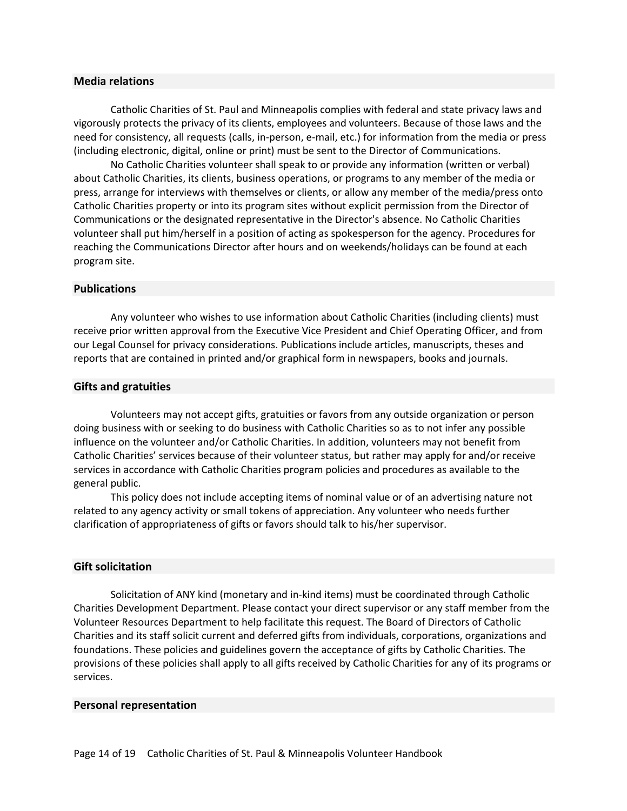## <span id="page-15-0"></span>**Media relations**

Catholic Charities of St. Paul and Minneapolis complies with federal and state privacy laws and vigorously protects the privacy of its clients, employees and volunteers. Because of those laws and the need for consistency, all requests (calls, in-person, e-mail, etc.) for information from the media or press (including electronic, digital, online or print) must be sent to the Director of Communications.

No Catholic Charities volunteer shall speak to or provide any information (written or verbal) about Catholic Charities, its clients, business operations, or programs to any member of the media or press, arrange for interviews with themselves or clients, or allow any member of the media/press onto Catholic Charities property or into its program sites without explicit permission from the Director of Communications or the designated representative in the Director's absence. No Catholic Charities volunteer shall put him/herself in a position of acting as spokesperson for the agency. Procedures for reaching the Communications Director after hours and on weekends/holidays can be found at each program site.

#### <span id="page-15-1"></span>**Publications**

Any volunteer who wishes to use information about Catholic Charities (including clients) must receive prior written approval from the Executive Vice President and Chief Operating Officer, and from our Legal Counsel for privacy considerations. Publications include articles, manuscripts, theses and reports that are contained in printed and/or graphical form in newspapers, books and journals.

#### <span id="page-15-2"></span>**Gifts and gratuities**

Volunteers may not accept gifts, gratuities or favors from any outside organization or person doing business with or seeking to do business with Catholic Charities so as to not infer any possible influence on the volunteer and/or Catholic Charities. In addition, volunteers may not benefit from Catholic Charities' services because of their volunteer status, but rather may apply for and/or receive services in accordance with Catholic Charities program policies and procedures as available to the general public.

This policy does not include accepting items of nominal value or of an advertising nature not related to any agency activity or small tokens of appreciation. Any volunteer who needs further clarification of appropriateness of gifts or favors should talk to his/her supervisor.

## <span id="page-15-3"></span>**Gift solicitation**

Solicitation of ANY kind (monetary and in-kind items) must be coordinated through Catholic Charities Development Department. Please contact your direct supervisor or any staff member from the Volunteer Resources Department to help facilitate this request. The Board of Directors of Catholic Charities and its staff solicit current and deferred gifts from individuals, corporations, organizations and foundations. These policies and guidelines govern the acceptance of gifts by Catholic Charities. The provisions of these policies shall apply to all gifts received by Catholic Charities for any of its programs or services.

#### <span id="page-15-4"></span>**Personal representation**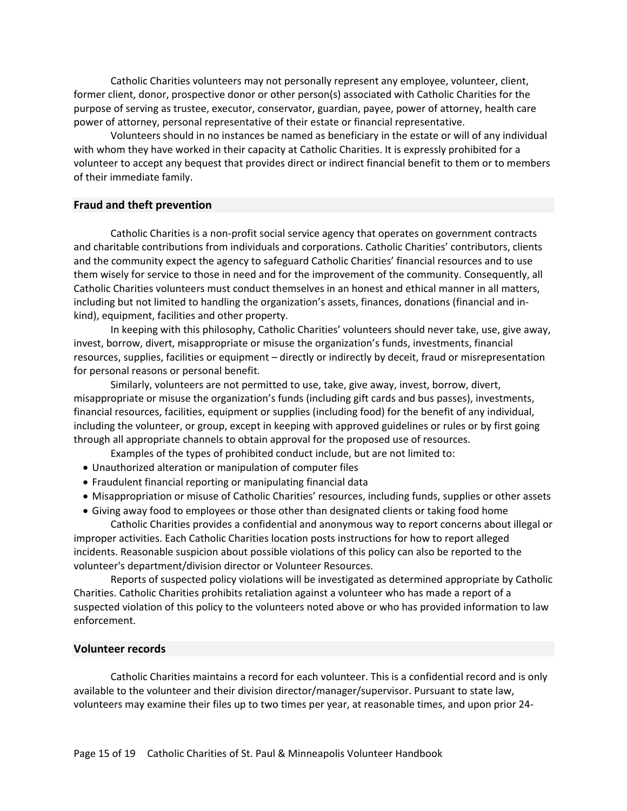Catholic Charities volunteers may not personally represent any employee, volunteer, client, former client, donor, prospective donor or other person(s) associated with Catholic Charities for the purpose of serving as trustee, executor, conservator, guardian, payee, power of attorney, health care power of attorney, personal representative of their estate or financial representative.

Volunteers should in no instances be named as beneficiary in the estate or will of any individual with whom they have worked in their capacity at Catholic Charities. It is expressly prohibited for a volunteer to accept any bequest that provides direct or indirect financial benefit to them or to members of their immediate family.

#### <span id="page-16-0"></span>**Fraud and theft prevention**

Catholic Charities is a non-profit social service agency that operates on government contracts and charitable contributions from individuals and corporations. Catholic Charities' contributors, clients and the community expect the agency to safeguard Catholic Charities' financial resources and to use them wisely for service to those in need and for the improvement of the community. Consequently, all Catholic Charities volunteers must conduct themselves in an honest and ethical manner in all matters, including but not limited to handling the organization's assets, finances, donations (financial and inkind), equipment, facilities and other property.

In keeping with this philosophy, Catholic Charities' volunteers should never take, use, give away, invest, borrow, divert, misappropriate or misuse the organization's funds, investments, financial resources, supplies, facilities or equipment – directly or indirectly by deceit, fraud or misrepresentation for personal reasons or personal benefit.

Similarly, volunteers are not permitted to use, take, give away, invest, borrow, divert, misappropriate or misuse the organization's funds (including gift cards and bus passes), investments, financial resources, facilities, equipment or supplies (including food) for the benefit of any individual, including the volunteer, or group, except in keeping with approved guidelines or rules or by first going through all appropriate channels to obtain approval for the proposed use of resources.

Examples of the types of prohibited conduct include, but are not limited to:

- Unauthorized alteration or manipulation of computer files
- Fraudulent financial reporting or manipulating financial data
- Misappropriation or misuse of Catholic Charities' resources, including funds, supplies or other assets
- Giving away food to employees or those other than designated clients or taking food home

Catholic Charities provides a confidential and anonymous way to report concerns about illegal or improper activities. Each Catholic Charities location posts instructions for how to report alleged incidents. Reasonable suspicion about possible violations of this policy can also be reported to the volunteer's department/division director or Volunteer Resources.

Reports of suspected policy violations will be investigated as determined appropriate by Catholic Charities. Catholic Charities prohibits retaliation against a volunteer who has made a report of a suspected violation of this policy to the volunteers noted above or who has provided information to law enforcement.

### <span id="page-16-1"></span>**Volunteer records**

Catholic Charities maintains a record for each volunteer. This is a confidential record and is only available to the volunteer and their division director/manager/supervisor. Pursuant to state law, volunteers may examine their files up to two times per year, at reasonable times, and upon prior 24-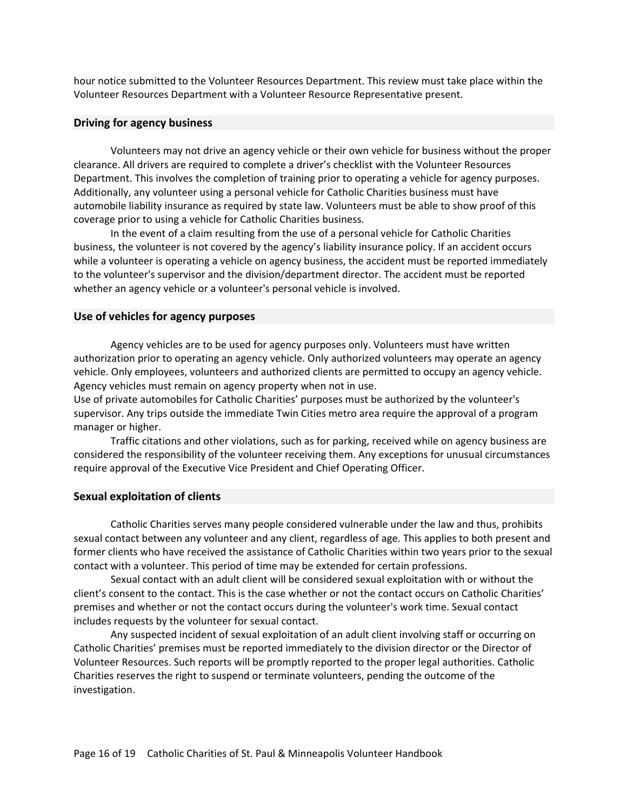hour notice submitted to the Volunteer Resources Department. This review must take place within the Volunteer Resources Department with a Volunteer Resource Representative present.

# <span id="page-17-0"></span>**Driving for agency business**

Volunteers may not drive an agency vehicle or their own vehicle for business without the proper clearance. All drivers are required to complete a driver's checklist with the Volunteer Resources Department. This involves the completion of training prior to operating a vehicle for agency purposes. Additionally, any volunteer using a personal vehicle for Catholic Charities business must have automobile liability insurance as required by state law. Volunteers must be able to show proof of this coverage prior to using a vehicle for Catholic Charities business.

In the event of a claim resulting from the use of a personal vehicle for Catholic Charities business, the volunteer is not covered by the agency's liability insurance policy. If an accident occurs while a volunteer is operating a vehicle on agency business, the accident must be reported immediately to the volunteer's supervisor and the division/department director. The accident must be reported whether an agency vehicle or a volunteer's personal vehicle is involved.

## <span id="page-17-1"></span>**Use of vehicles for agency purposes**

Agency vehicles are to be used for agency purposes only. Volunteers must have written authorization prior to operating an agency vehicle. Only authorized volunteers may operate an agency vehicle. Only employees, volunteers and authorized clients are permitted to occupy an agency vehicle. Agency vehicles must remain on agency property when not in use.

Use of private automobiles for Catholic Charities' purposes must be authorized by the volunteer's supervisor. Any trips outside the immediate Twin Cities metro area require the approval of a program manager or higher.

Traffic citations and other violations, such as for parking, received while on agency business are considered the responsibility of the volunteer receiving them. Any exceptions for unusual circumstances require approval of the Executive Vice President and Chief Operating Officer.

#### <span id="page-17-2"></span>**Sexual exploitation of clients**

Catholic Charities serves many people considered vulnerable under the law and thus, prohibits sexual contact between any volunteer and any client, regardless of age. This applies to both present and former clients who have received the assistance of Catholic Charities within two years prior to the sexual contact with a volunteer. This period of time may be extended for certain professions.

 Sexual contact with an adult client will be considered sexual exploitation with or without the client's consent to the contact. This is the case whether or not the contact occurs on Catholic Charities' premises and whether or not the contact occurs during the volunteer's work time. Sexual contact includes requests by the volunteer for sexual contact.

Any suspected incident of sexual exploitation of an adult client involving staff or occurring on Catholic Charities' premises must be reported immediately to the division director or the Director of Volunteer Resources. Such reports will be promptly reported to the proper legal authorities. Catholic Charities reserves the right to suspend or terminate volunteers, pending the outcome of the investigation.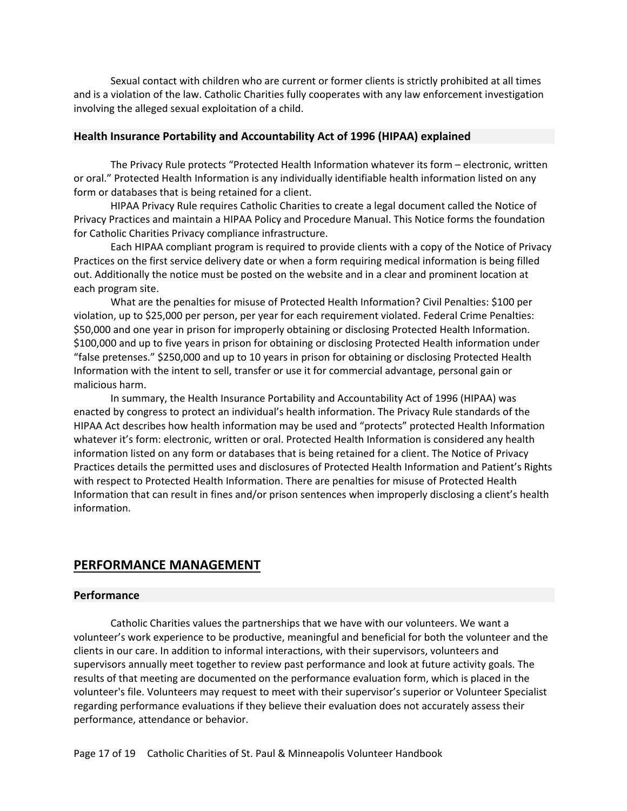Sexual contact with children who are current or former clients is strictly prohibited at all times and is a violation of the law. Catholic Charities fully cooperates with any law enforcement investigation involving the alleged sexual exploitation of a child.

#### <span id="page-18-0"></span>**Health Insurance Portability and Accountability Act of 1996 (HIPAA) explained**

The Privacy Rule protects "Protected Health Information whatever its form – electronic, written or oral." Protected Health Information is any individually identifiable health information listed on any form or databases that is being retained for a client.

HIPAA Privacy Rule requires Catholic Charities to create a legal document called the Notice of Privacy Practices and maintain a HIPAA Policy and Procedure Manual. This Notice forms the foundation for Catholic Charities Privacy compliance infrastructure.

Each HIPAA compliant program is required to provide clients with a copy of the Notice of Privacy Practices on the first service delivery date or when a form requiring medical information is being filled out. Additionally the notice must be posted on the website and in a clear and prominent location at each program site.

What are the penalties for misuse of Protected Health Information? Civil Penalties: \$100 per violation, up to \$25,000 per person, per year for each requirement violated. Federal Crime Penalties: \$50,000 and one year in prison for improperly obtaining or disclosing Protected Health Information. \$100,000 and up to five years in prison for obtaining or disclosing Protected Health information under "false pretenses." \$250,000 and up to 10 years in prison for obtaining or disclosing Protected Health Information with the intent to sell, transfer or use it for commercial advantage, personal gain or malicious harm.

In summary, the Health Insurance Portability and Accountability Act of 1996 (HIPAA) was enacted by congress to protect an individual's health information. The Privacy Rule standards of the HIPAA Act describes how health information may be used and "protects" protected Health Information whatever it's form: electronic, written or oral. Protected Health Information is considered any health information listed on any form or databases that is being retained for a client. The Notice of Privacy Practices details the permitted uses and disclosures of Protected Health Information and Patient's Rights with respect to Protected Health Information. There are penalties for misuse of Protected Health Information that can result in fines and/or prison sentences when improperly disclosing a client's health information.

# <span id="page-18-1"></span>**PERFORMANCE MANAGEMENT**

#### <span id="page-18-2"></span>**Performance**

Catholic Charities values the partnerships that we have with our volunteers. We want a volunteer's work experience to be productive, meaningful and beneficial for both the volunteer and the clients in our care. In addition to informal interactions, with their supervisors, volunteers and supervisors annually meet together to review past performance and look at future activity goals. The results of that meeting are documented on the performance evaluation form, which is placed in the volunteer's file. Volunteers may request to meet with their supervisor's superior or Volunteer Specialist regarding performance evaluations if they believe their evaluation does not accurately assess their performance, attendance or behavior.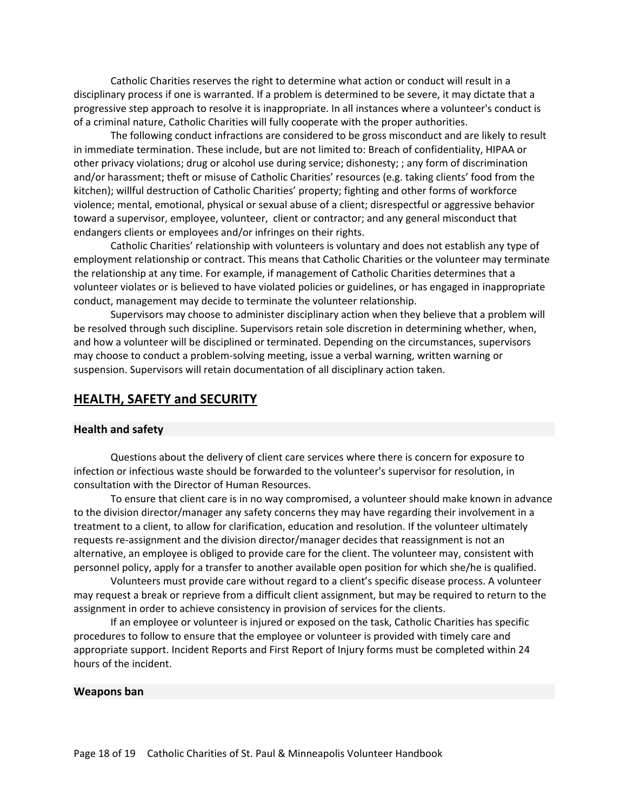Catholic Charities reserves the right to determine what action or conduct will result in a disciplinary process if one is warranted. If a problem is determined to be severe, it may dictate that a progressive step approach to resolve it is inappropriate. In all instances where a volunteer's conduct is of a criminal nature, Catholic Charities will fully cooperate with the proper authorities.

The following conduct infractions are considered to be gross misconduct and are likely to result in immediate termination. These include, but are not limited to: Breach of confidentiality, HIPAA or other privacy violations; drug or alcohol use during service; dishonesty; ; any form of discrimination and/or harassment; theft or misuse of Catholic Charities' resources (e.g. taking clients' food from the kitchen); willful destruction of Catholic Charities' property; fighting and other forms of workforce violence; mental, emotional, physical or sexual abuse of a client; disrespectful or aggressive behavior toward a supervisor, employee, volunteer, client or contractor; and any general misconduct that endangers clients or employees and/or infringes on their rights.

Catholic Charities' relationship with volunteers is voluntary and does not establish any type of employment relationship or contract. This means that Catholic Charities or the volunteer may terminate the relationship at any time. For example, if management of Catholic Charities determines that a volunteer violates or is believed to have violated policies or guidelines, or has engaged in inappropriate conduct, management may decide to terminate the volunteer relationship.

Supervisors may choose to administer disciplinary action when they believe that a problem will be resolved through such discipline. Supervisors retain sole discretion in determining whether, when, and how a volunteer will be disciplined or terminated. Depending on the circumstances, supervisors may choose to conduct a problem-solving meeting, issue a verbal warning, written warning or suspension. Supervisors will retain documentation of all disciplinary action taken.

# <span id="page-19-0"></span>**HEALTH, SAFETY and SECURITY**

## <span id="page-19-1"></span>**Health and safety**

Questions about the delivery of client care services where there is concern for exposure to infection or infectious waste should be forwarded to the volunteer's supervisor for resolution, in consultation with the Director of Human Resources.

To ensure that client care is in no way compromised, a volunteer should make known in advance to the division director/manager any safety concerns they may have regarding their involvement in a treatment to a client, to allow for clarification, education and resolution. If the volunteer ultimately requests re-assignment and the division director/manager decides that reassignment is not an alternative, an employee is obliged to provide care for the client. The volunteer may, consistent with personnel policy, apply for a transfer to another available open position for which she/he is qualified.

Volunteers must provide care without regard to a client's specific disease process. A volunteer may request a break or reprieve from a difficult client assignment, but may be required to return to the assignment in order to achieve consistency in provision of services for the clients.

If an employee or volunteer is injured or exposed on the task, Catholic Charities has specific procedures to follow to ensure that the employee or volunteer is provided with timely care and appropriate support. Incident Reports and First Report of Injury forms must be completed within 24 hours of the incident.

#### <span id="page-19-2"></span>**Weapons ban**